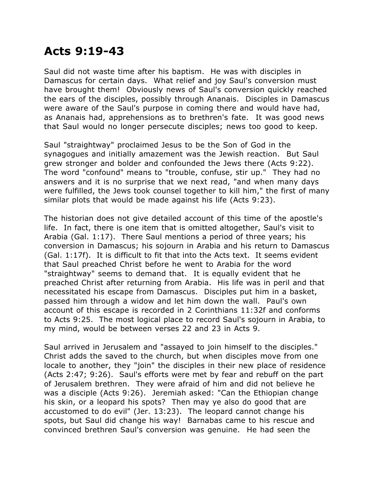## **Acts 9:19-43**

Saul did not waste time after his baptism. He was with disciples in Damascus for certain days. What relief and joy Saul's conversion must have brought them! Obviously news of Saul's conversion quickly reached the ears of the disciples, possibly through Ananais. Disciples in Damascus were aware of the Saul's purpose in coming there and would have had, as Ananais had, apprehensions as to brethren's fate. It was good news that Saul would no longer persecute disciples; news too good to keep.

Saul "straightway" proclaimed Jesus to be the Son of God in the synagogues and initially amazement was the Jewish reaction. But Saul grew stronger and bolder and confounded the Jews there (Acts 9:22). The word "confound" means to "trouble, confuse, stir up." They had no answers and it is no surprise that we next read, "and when many days were fulfilled, the Jews took counsel together to kill him," the first of many similar plots that would be made against his life (Acts 9:23).

The historian does not give detailed account of this time of the apostle's life. In fact, there is one item that is omitted altogether, Saul's visit to Arabia (Gal. 1:17). There Saul mentions a period of three years; his conversion in Damascus; his sojourn in Arabia and his return to Damascus (Gal. 1:17f). It is difficult to fit that into the Acts text. It seems evident that Saul preached Christ before he went to Arabia for the word "straightway" seems to demand that. It is equally evident that he preached Christ after returning from Arabia. His life was in peril and that necessitated his escape from Damascus. Disciples put him in a basket, passed him through a widow and let him down the wall. Paul's own account of this escape is recorded in 2 Corinthians 11:32f and conforms to Acts 9:25. The most logical place to record Saul's sojourn in Arabia, to my mind, would be between verses 22 and 23 in Acts 9.

Saul arrived in Jerusalem and "assayed to join himself to the disciples." Christ adds the saved to the church, but when disciples move from one locale to another, they "join" the disciples in their new place of residence (Acts 2:47; 9:26). Saul's efforts were met by fear and rebuff on the part of Jerusalem brethren. They were afraid of him and did not believe he was a disciple (Acts 9:26). Jeremiah asked: "Can the Ethiopian change his skin, or a leopard his spots? Then may ye also do good that are accustomed to do evil" (Jer. 13:23). The leopard cannot change his spots, but Saul did change his way! Barnabas came to his rescue and convinced brethren Saul's conversion was genuine. He had seen the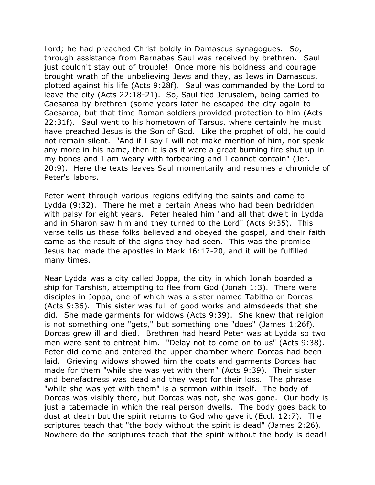Lord; he had preached Christ boldly in Damascus synagogues. So, through assistance from Barnabas Saul was received by brethren. Saul just couldn't stay out of trouble! Once more his boldness and courage brought wrath of the unbelieving Jews and they, as Jews in Damascus, plotted against his life (Acts 9:28f). Saul was commanded by the Lord to leave the city (Acts 22:18-21). So, Saul fled Jerusalem, being carried to Caesarea by brethren (some years later he escaped the city again to Caesarea, but that time Roman soldiers provided protection to him (Acts 22:31f). Saul went to his hometown of Tarsus, where certainly he must have preached Jesus is the Son of God. Like the prophet of old, he could not remain silent. "And if I say I will not make mention of him, nor speak any more in his name, then it is as it were a great burning fire shut up in my bones and I am weary with forbearing and I cannot contain" (Jer. 20:9). Here the texts leaves Saul momentarily and resumes a chronicle of Peter's labors.

Peter went through various regions edifying the saints and came to Lydda (9:32). There he met a certain Aneas who had been bedridden with palsy for eight years. Peter healed him "and all that dwelt in Lydda and in Sharon saw him and they turned to the Lord" (Acts 9:35). This verse tells us these folks believed and obeyed the gospel, and their faith came as the result of the signs they had seen. This was the promise Jesus had made the apostles in Mark 16:17-20, and it will be fulfilled many times.

Near Lydda was a city called Joppa, the city in which Jonah boarded a ship for Tarshish, attempting to flee from God (Jonah 1:3). There were disciples in Joppa, one of which was a sister named Tabitha or Dorcas (Acts 9:36). This sister was full of good works and almsdeeds that she did. She made garments for widows (Acts 9:39). She knew that religion is not something one "gets," but something one "does" (James 1:26f). Dorcas grew ill and died. Brethren had heard Peter was at Lydda so two men were sent to entreat him. "Delay not to come on to us" (Acts 9:38). Peter did come and entered the upper chamber where Dorcas had been laid. Grieving widows showed him the coats and garments Dorcas had made for them "while she was yet with them" (Acts 9:39). Their sister and benefactress was dead and they wept for their loss. The phrase "while she was yet with them" is a sermon within itself. The body of Dorcas was visibly there, but Dorcas was not, she was gone. Our body is just a tabernacle in which the real person dwells. The body goes back to dust at death but the spirit returns to God who gave it (Eccl. 12:7). The scriptures teach that "the body without the spirit is dead" (James 2:26). Nowhere do the scriptures teach that the spirit without the body is dead!